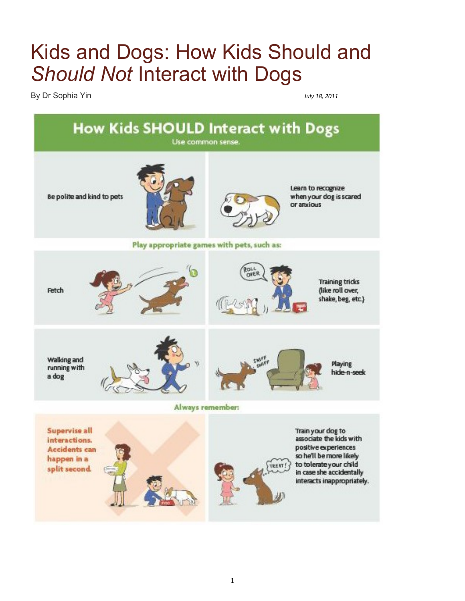## Kids and Dogs: How Kids Should and *Should Not* Interact with Dogs

By Dr Sophia Yin *July 18, 2011* 

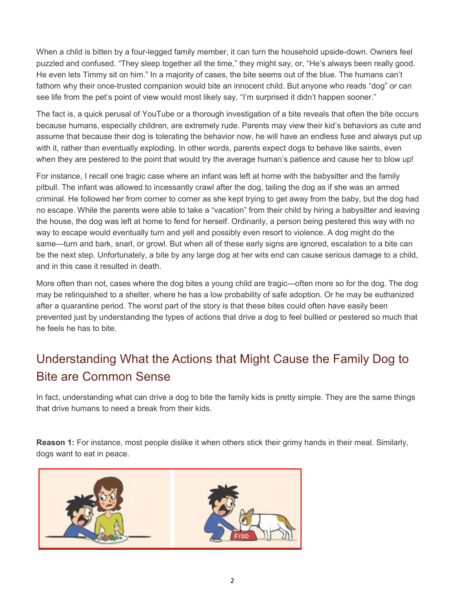When a child is bitten by a four-legged family member, it can turn the household upside-down. Owners feel puzzled and confused. "They sleep together all the time," they might say, or, "He's always been really good. He even lets Timmy sit on him." In a majority of cases, the bite seems out of the blue. The humans can't fathom why their once-trusted companion would bite an innocent child. But anyone who reads "dog" or can see life from the pet's point of view would most likely say, "I'm surprised it didn't happen sooner."

The fact is, a quick perusal of YouTube or a thorough investigation of a bite reveals that often the bite occurs because humans, especially children, are extremely rude. Parents may view their kid's behaviors as cute and assume that because their dog is tolerating the behavior now, he will have an endless fuse and always put up with it, rather than eventually exploding. In other words, parents expect dogs to behave like saints, even when they are pestered to the point that would try the average human's patience and cause her to blow up!

For instance, I recall one tragic case where an infant was left at home with the babysitter and the family pitbull. The infant was allowed to incessantly crawl after the dog, tailing the dog as if she was an armed criminal. He followed her from corner to corner as she kept trying to get away from the baby, but the dog had no escape. While the parents were able to take a "vacation" from their child by hiring a babysitter and leaving the house, the dog was left at home to fend for herself. Ordinarily, a person being pestered this way with no way to escape would eventually turn and yell and possibly even resort to violence. A dog might do the same—turn and bark, snarl, or growl. But when all of these early signs are ignored, escalation to a bite can be the next step. Unfortunately, a bite by any large dog at her wits end can cause serious damage to a child, and in this case it resulted in death.

More often than not, cases where the dog bites a young child are tragic—often more so for the dog. The dog may be relinquished to a shelter, where he has a low probability of safe adoption. Or he may be euthanized after a quarantine period. The worst part of the story is that these bites could often have easily been prevented just by understanding the types of actions that drive a dog to feel bullied or pestered so much that he feels he has to bite.

## Understanding What the Actions that Might Cause the Family Dog to Bite are Common Sense

In fact, understanding what can drive a dog to bite the family kids is pretty simple. They are the same things that drive humans to need a break from their kids.

**Reason 1:** For instance, most people dislike it when others stick their grimy hands in their meal. Similarly, dogs want to eat in peace.

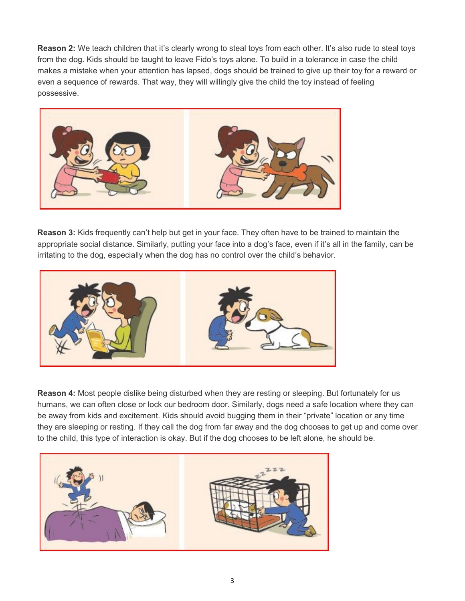**Reason 2:** We teach children that it's clearly wrong to steal toys from each other. It's also rude to steal toys from the dog. Kids should be taught to leave Fido's toys alone. To build in a tolerance in case the child makes a mistake when your attention has lapsed, dogs should be trained to give up their toy for a reward or even a sequence of rewards. That way, they will willingly give the child the toy instead of feeling possessive.



**Reason 3:** Kids frequently can't help but get in your face. They often have to be trained to maintain the appropriate social distance. Similarly, putting your face into a dog's face, even if it's all in the family, can be irritating to the dog, especially when the dog has no control over the child's behavior.



**Reason 4:** Most people dislike being disturbed when they are resting or sleeping. But fortunately for us humans, we can often close or lock our bedroom door. Similarly, dogs need a safe location where they can be away from kids and excitement. Kids should avoid bugging them in their "private" location or any time they are sleeping or resting. If they call the dog from far away and the dog chooses to get up and come over to the child, this type of interaction is okay. But if the dog chooses to be left alone, he should be.

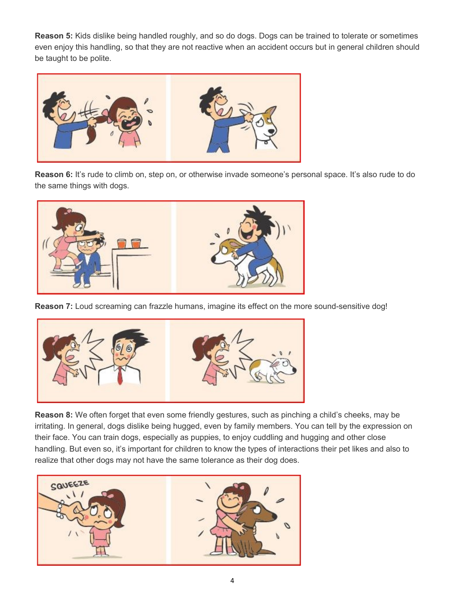**Reason 5:** Kids dislike being handled roughly, and so do dogs. Dogs can be trained to tolerate or sometimes even enjoy this handling, so that they are not reactive when an accident occurs but in general children should be taught to be polite.



**Reason 6:** It's rude to climb on, step on, or otherwise invade someone's personal space. It's also rude to do the same things with dogs.



**Reason 7:** Loud screaming can frazzle humans, imagine its effect on the more sound-sensitive dog!



**Reason 8:** We often forget that even some friendly gestures, such as pinching a child's cheeks, may be irritating. In general, dogs dislike being hugged, even by family members. You can tell by the expression on their face. You can train dogs, especially as puppies, to enjoy cuddling and hugging and other close handling. But even so, it's important for children to know the types of interactions their pet likes and also to realize that other dogs may not have the same tolerance as their dog does.

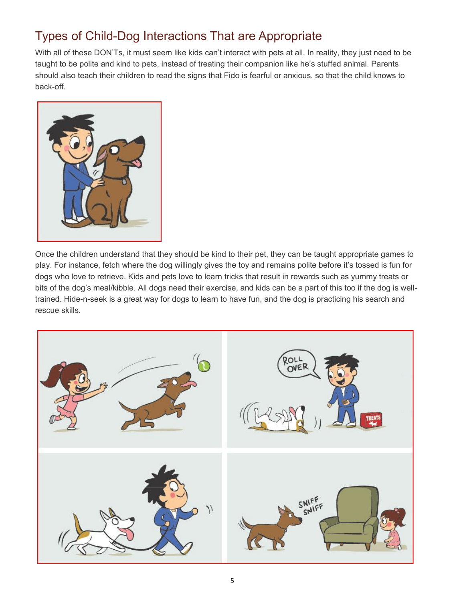## Types of Child-Dog Interactions That are Appropriate

With all of these DON'Ts, it must seem like kids can't interact with pets at all. In reality, they just need to be taught to be polite and kind to pets, instead of treating their companion like he's stuffed animal. Parents should also teach their children to read the signs that Fido is fearful or anxious, so that the child knows to back-off.



Once the children understand that they should be kind to their pet, they can be taught appropriate games to play. For instance, fetch where the dog willingly gives the toy and remains polite before it's tossed is fun for dogs who love to retrieve. Kids and pets love to learn tricks that result in rewards such as yummy treats or bits of the dog's meal/kibble. All dogs need their exercise, and kids can be a part of this too if the dog is welltrained. Hide-n-seek is a great way for dogs to learn to have fun, and the dog is practicing his search and rescue skills.